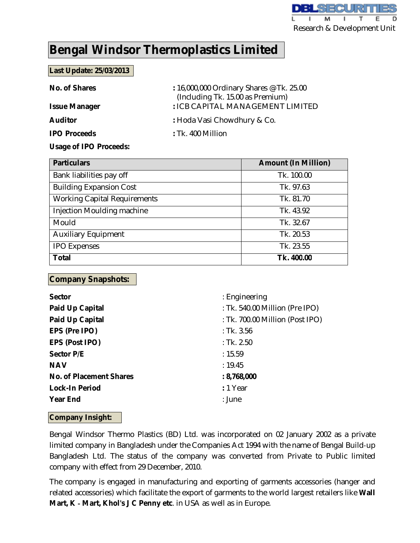

# **Bengal Windsor Thermoplastics Limited**

## **Last Update: 25/03/2013**

| <b>No. of Shares</b> | : 16,000,000 Ordinary Shares @ Tk. 25.00<br>(Including Tk. 15.00 as Premium) |  |  |  |
|----------------------|------------------------------------------------------------------------------|--|--|--|
| <b>Issue Manager</b> | : ICB CAPITAL MANAGEMENT LIMITED                                             |  |  |  |
| <b>Auditor</b>       | : Hoda Vasi Chowdhury & Co.                                                  |  |  |  |
| <b>IPO Proceeds</b>  | $:$ Tk. 400 Million                                                          |  |  |  |

#### **Usage of IPO Proceeds:**

| <b>Particulars</b>                  | <b>Amount (In Million)</b> |
|-------------------------------------|----------------------------|
| Bank liabilities pay off            | Tk. 100.00                 |
| <b>Building Expansion Cost</b>      | Tk. 97.63                  |
| <b>Working Capital Requirements</b> | Tk. 81.70                  |
| Injection Moulding machine          | Tk. 43.92                  |
| Mould                               | Tk. 32.67                  |
| <b>Auxiliary Equipment</b>          | Tk. 20.53                  |
| <b>IPO Expenses</b>                 | Tk. 23.55                  |
| <b>Total</b>                        | Tk. 400.00                 |

## **Company Snapshots:**

| <b>Sector</b>                  | : Engineering                   |
|--------------------------------|---------------------------------|
| <b>Paid Up Capital</b>         | : Tk. 540.00 Million (Pre IPO)  |
| <b>Paid Up Capital</b>         | : Tk. 700.00 Million (Post IPO) |
| EPS (Pre IPO)                  | $:$ Tk. 3.56                    |
| <b>EPS (Post IPO)</b>          | : Tk. 2.50                      |
| <b>Sector P/E</b>              | : 15.59                         |
| <b>NAV</b>                     | : 19.45                         |
| <b>No. of Placement Shares</b> | : 8,768,000                     |
| <b>Lock-In Period</b>          | : 1 Year                        |
| <b>Year End</b>                | : June                          |
|                                |                                 |

## **Company Insight:**

Bengal Windsor Thermo Plastics (BD) Ltd. was incorporated on 02 January 2002 as a private limited company in Bangladesh under the Companies Act 1994 with the name of Bengal Build‐up Bangladesh Ltd. The status of the company was converted from Private to Public limited company with effect from 29 December, 2010.

The company is engaged in manufacturing and exporting of garments accessories (hanger and related accessories) which facilitate the export of garments to the world largest retailers like **Wall Mart, K ‐ Mart, Khol's J C Penny etc**. in USA as well as in Europe.